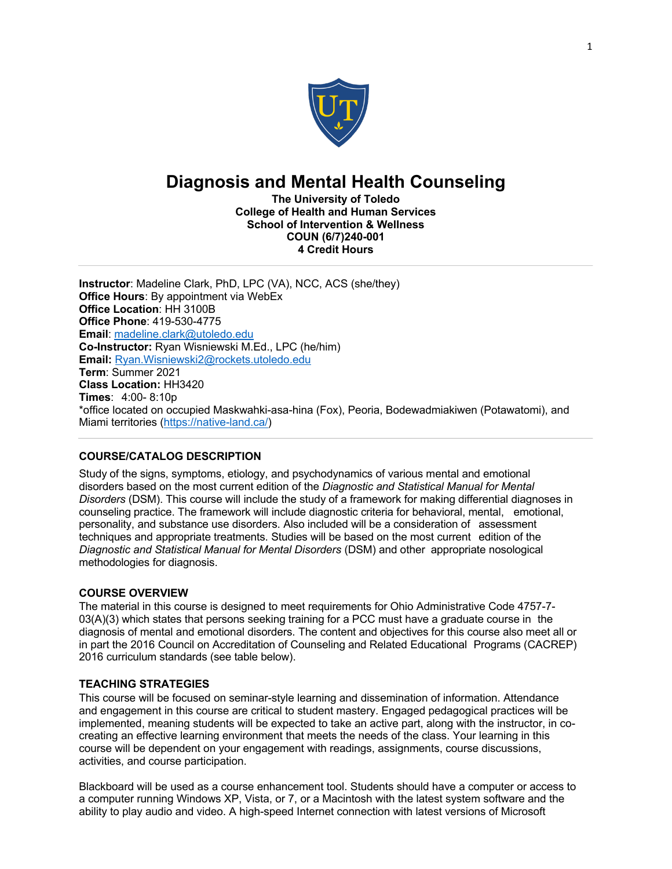

# **Diagnosis and Mental Health Counseling**

**The University of Toledo College of Health and Human Services School of Intervention & Wellness COUN (6/7)240-001 4 Credit Hours**

**Instructor**: Madeline Clark, PhD, LPC (VA), NCC, ACS (she/they) **Office Hours**: By appointment via WebEx **Office Location**: HH 3100B **Office Phone**: 419-530-4775 **Email**: madeline.clark@utoledo.edu **Co-Instructor:** Ryan Wisniewski M.Ed., LPC (he/him) **Email:** Ryan.Wisniewski2@rockets.utoledo.edu **Term**: Summer 2021 **Class Location:** HH3420 **Times**: 4:00- 8:10p \*office located on occupied Maskwahki-asa-hina (Fox), Peoria, Bodewadmiakiwen (Potawatomi), and Miami territories (https://native-land.ca/)

## **COURSE/CATALOG DESCRIPTION**

Study of the signs, symptoms, etiology, and psychodynamics of various mental and emotional disorders based on the most current edition of the *Diagnostic and Statistical Manual for Mental Disorders* (DSM). This course will include the study of a framework for making differential diagnoses in counseling practice. The framework will include diagnostic criteria for behavioral, mental, emotional, personality, and substance use disorders. Also included will be a consideration of assessment techniques and appropriate treatments. Studies will be based on the most current edition of the *Diagnostic and Statistical Manual for Mental Disorders* (DSM) and other appropriate nosological methodologies for diagnosis.

#### **COURSE OVERVIEW**

The material in this course is designed to meet requirements for Ohio Administrative Code 4757-7-  $03(A)(3)$  which states that persons seeking training for a PCC must have a graduate course in the diagnosis of mental and emotional disorders. The content and objectives for this course also meet all or in part the 2016 Council on Accreditation of Counseling and Related Educational Programs (CACREP) 2016 curriculum standards (see table below).

## **TEACHING STRATEGIES**

This course will be focused on seminar-style learning and dissemination of information. Attendance and engagement in this course are critical to student mastery. Engaged pedagogical practices will be implemented, meaning students will be expected to take an active part, along with the instructor, in cocreating an effective learning environment that meets the needs of the class. Your learning in this course will be dependent on your engagement with readings, assignments, course discussions, activities, and course participation.

Blackboard will be used as a course enhancement tool. Students should have a computer or access to a computer running Windows XP, Vista, or 7, or a Macintosh with the latest system software and the ability to play audio and video. A high-speed Internet connection with latest versions of Microsoft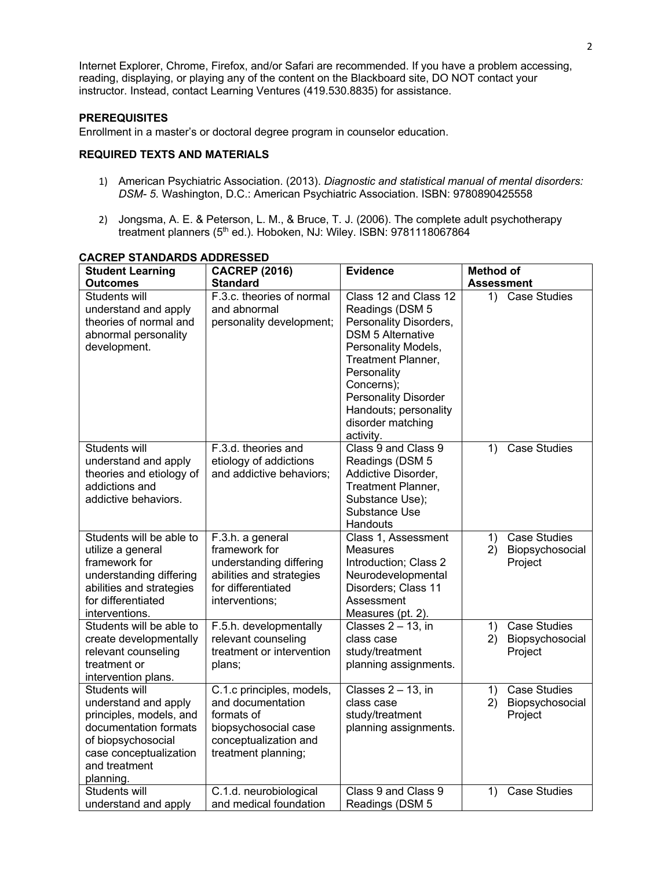Internet Explorer, Chrome, Firefox, and/or Safari are recommended. If you have a problem accessing, reading, displaying, or playing any of the content on the Blackboard site, DO NOT contact your instructor. Instead, contact Learning Ventures (419.530.8835) for assistance.

#### **PREREQUISITES**

Enrollment in a master's or doctoral degree program in counselor education.

## **REQUIRED TEXTS AND MATERIALS**

- 1) American Psychiatric Association. (2013). *Diagnostic and statistical manual of mental disorders: DSM- 5*. Washington, D.C.: American Psychiatric Association. ISBN: 9780890425558
- 2) Jongsma, A. E. & Peterson, L. M., & Bruce, T. J. (2006). The complete adult psychotherapy treatment planners (5<sup>th</sup> ed.). Hoboken, NJ: Wiley. ISBN: 9781118067864

| <b>Student Learning</b>                                                                                                                                                 | <b>CACREP (2016)</b>                                                                                                                 | <b>Evidence</b>                                                                                                                                                                                                                                                    | <b>Method of</b>                                              |
|-------------------------------------------------------------------------------------------------------------------------------------------------------------------------|--------------------------------------------------------------------------------------------------------------------------------------|--------------------------------------------------------------------------------------------------------------------------------------------------------------------------------------------------------------------------------------------------------------------|---------------------------------------------------------------|
| <b>Outcomes</b>                                                                                                                                                         | <b>Standard</b>                                                                                                                      |                                                                                                                                                                                                                                                                    | <b>Assessment</b>                                             |
| Students will<br>understand and apply<br>theories of normal and<br>abnormal personality<br>development.                                                                 | F.3.c. theories of normal<br>and abnormal<br>personality development;                                                                | Class 12 and Class 12<br>Readings (DSM 5<br>Personality Disorders,<br><b>DSM 5 Alternative</b><br>Personality Models,<br>Treatment Planner,<br>Personality<br>Concerns);<br><b>Personality Disorder</b><br>Handouts; personality<br>disorder matching<br>activity. | <b>Case Studies</b><br>1)                                     |
| Students will<br>understand and apply<br>theories and etiology of<br>addictions and<br>addictive behaviors.                                                             | F.3.d. theories and<br>etiology of addictions<br>and addictive behaviors;                                                            | Class 9 and Class 9<br>Readings (DSM 5<br>Addictive Disorder,<br>Treatment Planner,<br>Substance Use);<br>Substance Use<br>Handouts                                                                                                                                | <b>Case Studies</b><br>1)                                     |
| Students will be able to<br>utilize a general<br>framework for<br>understanding differing<br>abilities and strategies<br>for differentiated<br>interventions.           | F.3.h. a general<br>framework for<br>understanding differing<br>abilities and strategies<br>for differentiated<br>interventions;     | Class 1, Assessment<br>Measures<br>Introduction; Class 2<br>Neurodevelopmental<br>Disorders; Class 11<br>Assessment<br>Measures (pt. 2).                                                                                                                           | Case Studies<br>1)<br>2)<br>Biopsychosocial<br>Project        |
| Students will be able to<br>create developmentally<br>relevant counseling<br>treatment or<br>intervention plans.                                                        | F.5.h. developmentally<br>relevant counseling<br>treatment or intervention<br>plans;                                                 | Classes $2 - 13$ , in<br>class case<br>study/treatment<br>planning assignments.                                                                                                                                                                                    | <b>Case Studies</b><br>1)<br>2)<br>Biopsychosocial<br>Project |
| Students will<br>understand and apply<br>principles, models, and<br>documentation formats<br>of biopsychosocial<br>case conceptualization<br>and treatment<br>planning. | C.1.c principles, models,<br>and documentation<br>formats of<br>biopsychosocial case<br>conceptualization and<br>treatment planning; | Classes $2 - 13$ , in<br>class case<br>study/treatment<br>planning assignments.                                                                                                                                                                                    | <b>Case Studies</b><br>1)<br>Biopsychosocial<br>2)<br>Project |
| Students will<br>understand and apply                                                                                                                                   | C.1.d. neurobiological<br>and medical foundation                                                                                     | Class 9 and Class 9<br>Readings (DSM 5                                                                                                                                                                                                                             | <b>Case Studies</b><br>1)                                     |

#### **CACREP STANDARDS ADDRESSED**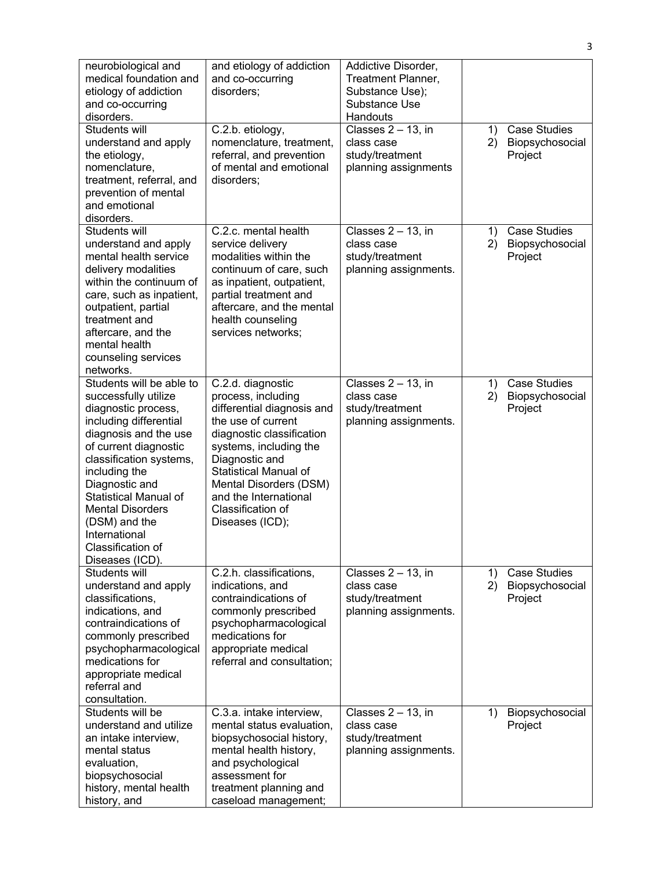| neurobiological and<br>medical foundation and<br>etiology of addiction<br>and co-occurring<br>disorders.                                                                                                                                                                                                                                               | and etiology of addiction<br>and co-occurring<br>disorders;                                                                                                                                                                                                                                     | Addictive Disorder,<br>Treatment Planner,<br>Substance Use);<br>Substance Use<br>Handouts |          |                                                   |
|--------------------------------------------------------------------------------------------------------------------------------------------------------------------------------------------------------------------------------------------------------------------------------------------------------------------------------------------------------|-------------------------------------------------------------------------------------------------------------------------------------------------------------------------------------------------------------------------------------------------------------------------------------------------|-------------------------------------------------------------------------------------------|----------|---------------------------------------------------|
| Students will<br>understand and apply<br>the etiology,<br>nomenclature,<br>treatment, referral, and<br>prevention of mental<br>and emotional<br>disorders.                                                                                                                                                                                             | C.2.b. etiology,<br>nomenclature, treatment,<br>referral, and prevention<br>of mental and emotional<br>disorders;                                                                                                                                                                               | Classes $2 - 13$ , in<br>class case<br>study/treatment<br>planning assignments            | 1)<br>2) | <b>Case Studies</b><br>Biopsychosocial<br>Project |
| Students will<br>understand and apply<br>mental health service<br>delivery modalities<br>within the continuum of<br>care, such as inpatient,<br>outpatient, partial<br>treatment and<br>aftercare, and the<br>mental health<br>counseling services<br>networks.                                                                                        | C.2.c. mental health<br>service delivery<br>modalities within the<br>continuum of care, such<br>as inpatient, outpatient,<br>partial treatment and<br>aftercare, and the mental<br>health counseling<br>services networks;                                                                      | Classes $2 - 13$ , in<br>class case<br>study/treatment<br>planning assignments.           | 1)<br>2) | <b>Case Studies</b><br>Biopsychosocial<br>Project |
| Students will be able to<br>successfully utilize<br>diagnostic process,<br>including differential<br>diagnosis and the use<br>of current diagnostic<br>classification systems,<br>including the<br>Diagnostic and<br><b>Statistical Manual of</b><br><b>Mental Disorders</b><br>(DSM) and the<br>International<br>Classification of<br>Diseases (ICD). | C.2.d. diagnostic<br>process, including<br>differential diagnosis and<br>the use of current<br>diagnostic classification<br>systems, including the<br>Diagnostic and<br><b>Statistical Manual of</b><br>Mental Disorders (DSM)<br>and the International<br>Classification of<br>Diseases (ICD); | Classes $2 - 13$ , in<br>class case<br>study/treatment<br>planning assignments.           | 1)<br>2) | <b>Case Studies</b><br>Biopsychosocial<br>Project |
| Students will<br>understand and apply<br>classifications,<br>indications, and<br>contraindications of<br>commonly prescribed<br>psychopharmacological<br>medications for<br>appropriate medical<br>referral and<br>consultation.                                                                                                                       | C.2.h. classifications,<br>indications, and<br>contraindications of<br>commonly prescribed<br>psychopharmacological<br>medications for<br>appropriate medical<br>referral and consultation;                                                                                                     | Classes $2 - 13$ , in<br>class case<br>study/treatment<br>planning assignments.           | 1)<br>2) | <b>Case Studies</b><br>Biopsychosocial<br>Project |
| Students will be<br>understand and utilize<br>an intake interview,<br>mental status<br>evaluation,<br>biopsychosocial<br>history, mental health<br>history, and                                                                                                                                                                                        | C.3.a. intake interview,<br>mental status evaluation,<br>biopsychosocial history,<br>mental health history,<br>and psychological<br>assessment for<br>treatment planning and<br>caseload management;                                                                                            | Classes $2 - 13$ , in<br>class case<br>study/treatment<br>planning assignments.           | 1)       | Biopsychosocial<br>Project                        |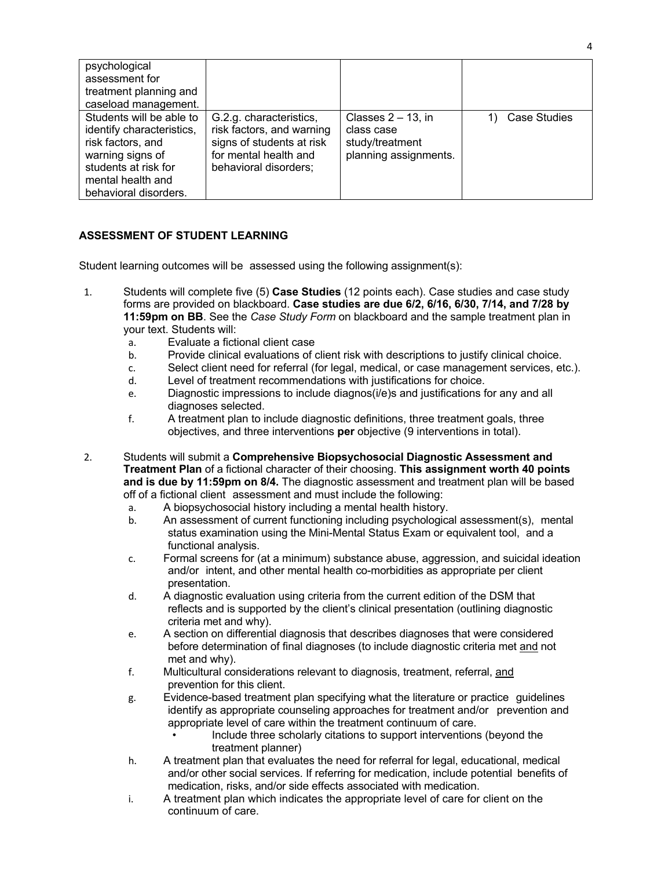| psychological<br>assessment for<br>treatment planning and<br>caseload management.                                                                                    |                                                                                                                                     |                                                                                 |              |
|----------------------------------------------------------------------------------------------------------------------------------------------------------------------|-------------------------------------------------------------------------------------------------------------------------------------|---------------------------------------------------------------------------------|--------------|
| Students will be able to<br>identify characteristics,<br>risk factors, and<br>warning signs of<br>students at risk for<br>mental health and<br>behavioral disorders. | G.2.g. characteristics,<br>risk factors, and warning<br>signs of students at risk<br>for mental health and<br>behavioral disorders; | Classes $2 - 13$ , in<br>class case<br>study/treatment<br>planning assignments. | Case Studies |

# **ASSESSMENT OF STUDENT LEARNING**

Student learning outcomes will be assessed using the following assignment(s):

- 1. Students will complete five (5) **Case Studies** (12 points each). Case studies and case study forms are provided on blackboard. **Case studies are due 6/2, 6/16, 6/30, 7/14, and 7/28 by 11:59pm on BB**. See the *Case Study Form* on blackboard and the sample treatment plan in your text. Students will:
	- a. Evaluate a fictional client case
	- b. Provide clinical evaluations of client risk with descriptions to justify clinical choice.
	- c. Select client need for referral (for legal, medical, or case management services, etc.).
	- d. Level of treatment recommendations with justifications for choice.
	- e. Diagnostic impressions to include diagnos(i/e)s and justifications for any and all diagnoses selected.
	- f. A treatment plan to include diagnostic definitions, three treatment goals, three objectives, and three interventions **per** objective (9 interventions in total).
- 2. Students will submit a **Comprehensive Biopsychosocial Diagnostic Assessment and Treatment Plan** of a fictional character of their choosing. **This assignment worth 40 points and is due by 11:59pm on 8/4.** The diagnostic assessment and treatment plan will be based off of a fictional client assessment and must include the following:
	- a. A biopsychosocial history including a mental health history.
	- b. An assessment of current functioning including psychological assessment(s), mental status examination using the Mini-Mental Status Exam or equivalent tool, and a functional analysis.
	- c. Formal screens for (at a minimum) substance abuse, aggression, and suicidal ideation and/or intent, and other mental health co-morbidities as appropriate per client presentation.
	- d. A diagnostic evaluation using criteria from the current edition of the DSM that reflects and is supported by the client's clinical presentation (outlining diagnostic criteria met and why).
	- e. A section on differential diagnosis that describes diagnoses that were considered before determination of final diagnoses (to include diagnostic criteria met and not met and why).
	- f. Multicultural considerations relevant to diagnosis, treatment, referral, and prevention for this client.
	- g. Evidence-based treatment plan specifying what the literature or practice guidelines identify as appropriate counseling approaches for treatment and/or prevention and appropriate level of care within the treatment continuum of care.
		- Include three scholarly citations to support interventions (beyond the treatment planner)
	- h. A treatment plan that evaluates the need for referral for legal, educational, medical and/or other social services. If referring for medication, include potential benefits of medication, risks, and/or side effects associated with medication.
	- i. A treatment plan which indicates the appropriate level of care for client on the continuum of care.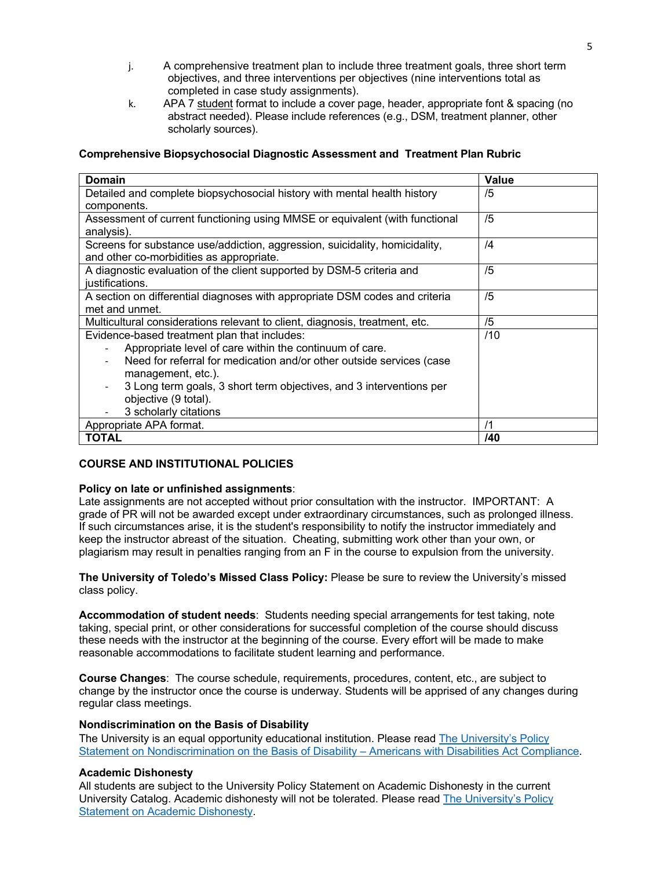- j. A comprehensive treatment plan to include three treatment goals, three short term objectives, and three interventions per objectives (nine interventions total as completed in case study assignments).
- k. APA 7 student format to include a cover page, header, appropriate font & spacing (no abstract needed). Please include references (e.g., DSM, treatment planner, other scholarly sources).

## **Comprehensive Biopsychosocial Diagnostic Assessment and Treatment Plan Rubric**

| <b>Domain</b>                                                               | Value          |  |  |
|-----------------------------------------------------------------------------|----------------|--|--|
| Detailed and complete biopsychosocial history with mental health history    | /5             |  |  |
| components.                                                                 |                |  |  |
| Assessment of current functioning using MMSE or equivalent (with functional | /5             |  |  |
| analysis).                                                                  |                |  |  |
| Screens for substance use/addiction, aggression, suicidality, homicidality, | $\overline{4}$ |  |  |
| and other co-morbidities as appropriate.                                    |                |  |  |
| A diagnostic evaluation of the client supported by DSM-5 criteria and       | /5             |  |  |
| justifications.                                                             |                |  |  |
| A section on differential diagnoses with appropriate DSM codes and criteria | /5             |  |  |
| met and unmet.                                                              |                |  |  |
| Multicultural considerations relevant to client, diagnosis, treatment, etc. | /5             |  |  |
| Evidence-based treatment plan that includes:                                | /10            |  |  |
| Appropriate level of care within the continuum of care.                     |                |  |  |
| Need for referral for medication and/or other outside services (case        |                |  |  |
| management, etc.).                                                          |                |  |  |
| 3 Long term goals, 3 short term objectives, and 3 interventions per         |                |  |  |
| objective (9 total).                                                        |                |  |  |
| 3 scholarly citations                                                       |                |  |  |
| Appropriate APA format.                                                     | /1             |  |  |
| <b>TOTAL</b>                                                                | /40            |  |  |

#### **COURSE AND INSTITUTIONAL POLICIES**

#### **Policy on late or unfinished assignments**:

Late assignments are not accepted without prior consultation with the instructor. IMPORTANT: A grade of PR will not be awarded except under extraordinary circumstances, such as prolonged illness. If such circumstances arise, it is the student's responsibility to notify the instructor immediately and keep the instructor abreast of the situation. Cheating, submitting work other than your own, or plagiarism may result in penalties ranging from an F in the course to expulsion from the university.

**The University of Toledo's Missed Class Policy:** Please be sure to review the University's missed class policy.

**Accommodation of student needs**: Students needing special arrangements for test taking, note taking, special print, or other considerations for successful completion of the course should discuss these needs with the instructor at the beginning of the course. Every effort will be made to make reasonable accommodations to facilitate student learning and performance.

**Course Changes**: The course schedule, requirements, procedures, content, etc., are subject to change by the instructor once the course is underway. Students will be apprised of any changes during regular class meetings.

#### **Nondiscrimination on the Basis of Disability**

The University is an equal opportunity educational institution. Please read The University's Policy Statement on Nondiscrimination on the Basis of Disability – Americans with Disabilities Act Compliance.

#### **Academic Dishonesty**

All students are subject to the University Policy Statement on Academic Dishonesty in the current University Catalog. Academic dishonesty will not be tolerated. Please read The University's Policy Statement on Academic Dishonesty.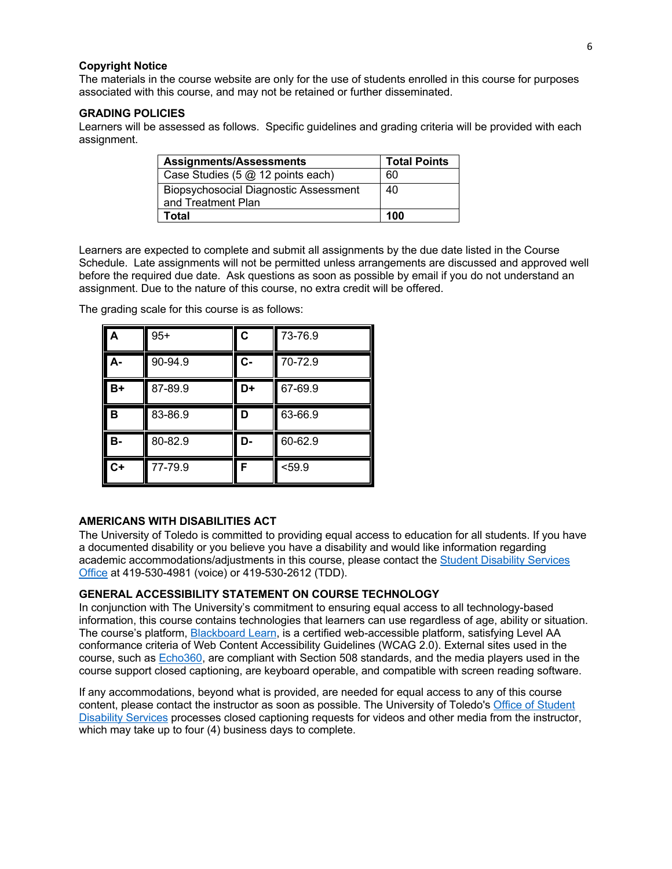#### **Copyright Notice**

The materials in the course website are only for the use of students enrolled in this course for purposes associated with this course, and may not be retained or further disseminated.

#### **GRADING POLICIES**

Learners will be assessed as follows. Specific guidelines and grading criteria will be provided with each assignment.

| <b>Assignments/Assessments</b>                                     | <b>Total Points</b> |
|--------------------------------------------------------------------|---------------------|
| Case Studies (5 @ 12 points each)                                  | 60                  |
| <b>Biopsychosocial Diagnostic Assessment</b><br>and Treatment Plan | 40                  |
| Total                                                              | 100                 |

Learners are expected to complete and submit all assignments by the due date listed in the Course Schedule. Late assignments will not be permitted unless arrangements are discussed and approved well before the required due date. Ask questions as soon as possible by email if you do not understand an assignment. Due to the nature of this course, no extra credit will be offered.

| A    | $95+$   | C  | 73-76.9 |
|------|---------|----|---------|
| А-   | 90-94.9 | C- | 70-72.9 |
| $B+$ | 87-89.9 | D+ | 67-69.9 |
| B    | 83-86.9 | D  | 63-66.9 |
| в-   | 80-82.9 | D- | 60-62.9 |
| $C+$ | 77-79.9 | F  | < 59.9  |

The grading scale for this course is as follows:

# **AMERICANS WITH DISABILITIES ACT**

The University of Toledo is committed to providing equal access to education for all students. If you have a documented disability or you believe you have a disability and would like information regarding academic accommodations/adjustments in this course, please contact the Student Disability Services Office at 419-530-4981 (voice) or 419-530-2612 (TDD).

#### **GENERAL ACCESSIBILITY STATEMENT ON COURSE TECHNOLOGY**

In conjunction with The University's commitment to ensuring equal access to all technology-based information, this course contains technologies that learners can use regardless of age, ability or situation. The course's platform, **Blackboard Learn**, is a certified web-accessible platform, satisfying Level AA conformance criteria of Web Content Accessibility Guidelines (WCAG 2.0). External sites used in the course, such as Echo360, are compliant with Section 508 standards, and the media players used in the course support closed captioning, are keyboard operable, and compatible with screen reading software.

If any accommodations, beyond what is provided, are needed for equal access to any of this course content, please contact the instructor as soon as possible. The University of Toledo's Office of Student Disability Services processes closed captioning requests for videos and other media from the instructor, which may take up to four (4) business days to complete.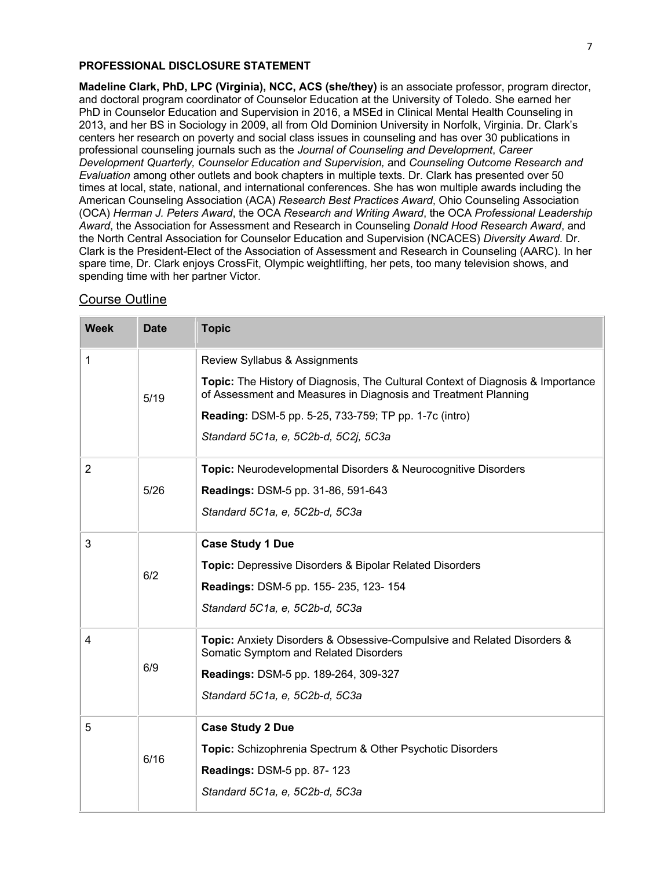#### **PROFESSIONAL DISCLOSURE STATEMENT**

**Madeline Clark, PhD, LPC (Virginia), NCC, ACS (she/they)** is an associate professor, program director, and doctoral program coordinator of Counselor Education at the University of Toledo. She earned her PhD in Counselor Education and Supervision in 2016, a MSEd in Clinical Mental Health Counseling in 2013, and her BS in Sociology in 2009, all from Old Dominion University in Norfolk, Virginia. Dr. Clark's centers her research on poverty and social class issues in counseling and has over 30 publications in professional counseling journals such as the *Journal of Counseling and Development*, *Career Development Quarterly, Counselor Education and Supervision,* and *Counseling Outcome Research and Evaluation* among other outlets and book chapters in multiple texts. Dr. Clark has presented over 50 times at local, state, national, and international conferences. She has won multiple awards including the American Counseling Association (ACA) *Research Best Practices Award*, Ohio Counseling Association (OCA) *Herman J. Peters Award*, the OCA *Research and Writing Award*, the OCA *Professional Leadership Award*, the Association for Assessment and Research in Counseling *Donald Hood Research Award*, and the North Central Association for Counselor Education and Supervision (NCACES) *Diversity Award*. Dr. Clark is the President-Elect of the Association of Assessment and Research in Counseling (AARC). In her spare time, Dr. Clark enjoys CrossFit, Olympic weightlifting, her pets, too many television shows, and spending time with her partner Victor.

# Course Outline

| <b>Week</b>    | <b>Date</b> | <b>Topic</b>                                                                                                                                      |
|----------------|-------------|---------------------------------------------------------------------------------------------------------------------------------------------------|
| 1              |             | Review Syllabus & Assignments                                                                                                                     |
|                | 5/19        | Topic: The History of Diagnosis, The Cultural Context of Diagnosis & Importance<br>of Assessment and Measures in Diagnosis and Treatment Planning |
|                |             | <b>Reading: DSM-5 pp. 5-25, 733-759; TP pp. 1-7c (intro)</b>                                                                                      |
|                |             | Standard 5C1a, e, 5C2b-d, 5C2j, 5C3a                                                                                                              |
| $\overline{2}$ |             | Topic: Neurodevelopmental Disorders & Neurocognitive Disorders                                                                                    |
|                | 5/26        | Readings: DSM-5 pp. 31-86, 591-643                                                                                                                |
|                |             | Standard 5C1a, e, 5C2b-d, 5C3a                                                                                                                    |
| 3              |             | <b>Case Study 1 Due</b>                                                                                                                           |
|                | 6/2         | <b>Topic: Depressive Disorders &amp; Bipolar Related Disorders</b>                                                                                |
|                |             | Readings: DSM-5 pp. 155-235, 123-154                                                                                                              |
|                |             | Standard 5C1a, e, 5C2b-d, 5C3a                                                                                                                    |
| $\overline{4}$ |             | <b>Topic:</b> Anxiety Disorders & Obsessive-Compulsive and Related Disorders &<br>Somatic Symptom and Related Disorders                           |
|                | 6/9         | Readings: DSM-5 pp. 189-264, 309-327                                                                                                              |
|                |             | Standard 5C1a, e, 5C2b-d, 5C3a                                                                                                                    |
| 5              |             | <b>Case Study 2 Due</b>                                                                                                                           |
|                | 6/16        | <b>Topic:</b> Schizophrenia Spectrum & Other Psychotic Disorders                                                                                  |
|                |             | <b>Readings: DSM-5 pp. 87-123</b>                                                                                                                 |
|                |             | Standard 5C1a, e, 5C2b-d, 5C3a                                                                                                                    |